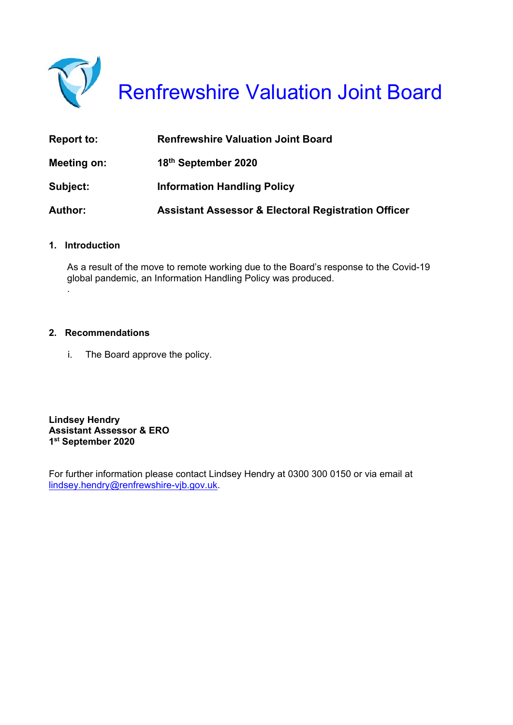

Renfrewshire Valuation Joint Board

| <b>Report to:</b> | <b>Renfrewshire Valuation Joint Board</b>                      |
|-------------------|----------------------------------------------------------------|
| Meeting on:       | 18th September 2020                                            |
| Subject:          | <b>Information Handling Policy</b>                             |
| <b>Author:</b>    | <b>Assistant Assessor &amp; Electoral Registration Officer</b> |

#### **1. Introduction**

.

As a result of the move to remote working due to the Board's response to the Covid-19 global pandemic, an Information Handling Policy was produced.

#### **2. Recommendations**

i. The Board approve the policy.

**Lindsey Hendry Assistant Assessor & ERO 1st September 2020** 

For further information please contact Lindsey Hendry at 0300 300 0150 or via email at lindsey.hendry@renfrewshire-vjb.gov.uk.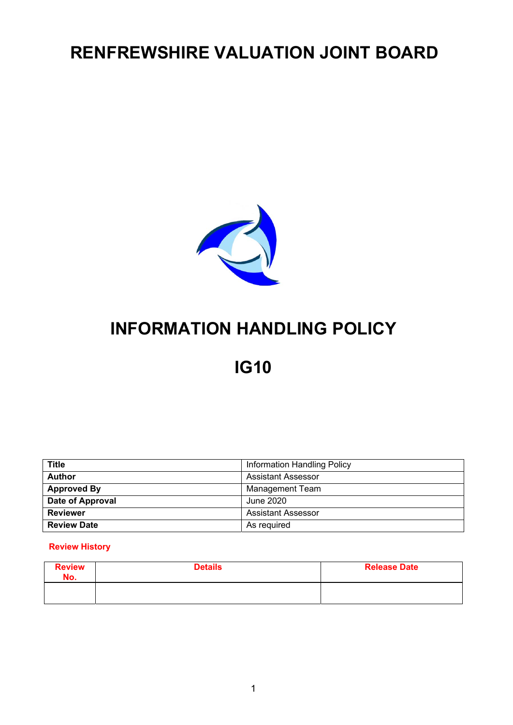# **RENFREWSHIRE VALUATION JOINT BOARD**



# **INFORMATION HANDLING POLICY**

# **IG10**

| <b>Title</b>       | Information Handling Policy |
|--------------------|-----------------------------|
| <b>Author</b>      | <b>Assistant Assessor</b>   |
| <b>Approved By</b> | Management Team             |
| Date of Approval   | June 2020                   |
| <b>Reviewer</b>    | <b>Assistant Assessor</b>   |
| <b>Review Date</b> | As required                 |

#### **Review History**

| <b>Review</b><br>No. | <b>Details</b> | <b>Release Date</b> |
|----------------------|----------------|---------------------|
|                      |                |                     |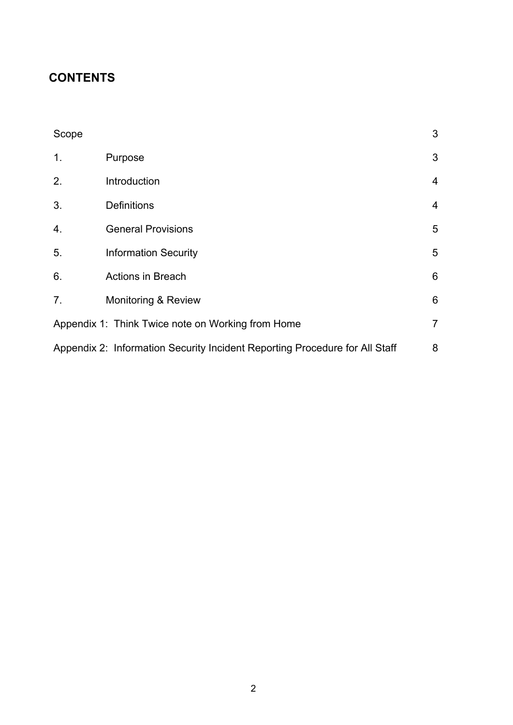# **CONTENTS**

| Scope            |                                                                             | 3              |
|------------------|-----------------------------------------------------------------------------|----------------|
| 1.               | Purpose                                                                     | 3              |
| 2.               | Introduction                                                                | $\overline{4}$ |
| 3.               | <b>Definitions</b>                                                          | $\overline{4}$ |
| $\overline{4}$ . | <b>General Provisions</b>                                                   | 5              |
| 5.               | <b>Information Security</b>                                                 | 5              |
| 6.               | <b>Actions in Breach</b>                                                    | $6\phantom{1}$ |
| 7 <sub>1</sub>   | <b>Monitoring &amp; Review</b>                                              | 6              |
|                  | Appendix 1: Think Twice note on Working from Home                           | $\overline{7}$ |
|                  | Appendix 2: Information Security Incident Reporting Procedure for All Staff | 8              |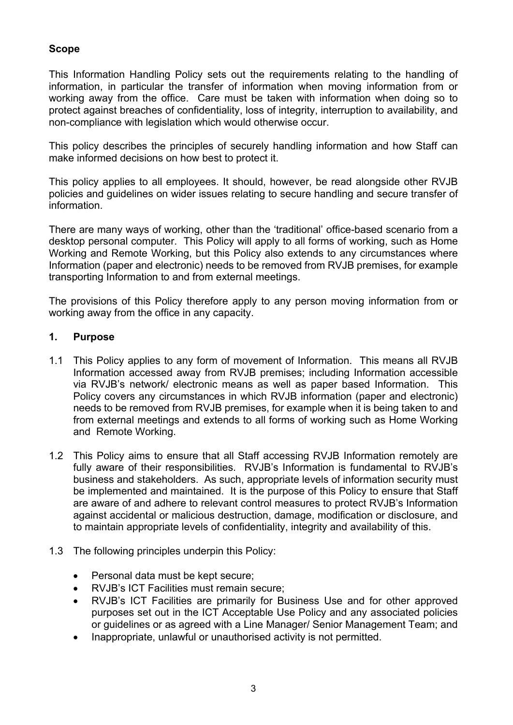# **Scope**

This Information Handling Policy sets out the requirements relating to the handling of information, in particular the transfer of information when moving information from or working away from the office. Care must be taken with information when doing so to protect against breaches of confidentiality, loss of integrity, interruption to availability, and non-compliance with legislation which would otherwise occur.

This policy describes the principles of securely handling information and how Staff can make informed decisions on how best to protect it.

This policy applies to all employees. It should, however, be read alongside other RVJB policies and guidelines on wider issues relating to secure handling and secure transfer of information.

There are many ways of working, other than the 'traditional' office-based scenario from a desktop personal computer. This Policy will apply to all forms of working, such as Home Working and Remote Working, but this Policy also extends to any circumstances where Information (paper and electronic) needs to be removed from RVJB premises, for example transporting Information to and from external meetings.

The provisions of this Policy therefore apply to any person moving information from or working away from the office in any capacity.

### **1. Purpose**

- 1.1 This Policy applies to any form of movement of Information. This means all RVJB Information accessed away from RVJB premises; including Information accessible via RVJB's network/ electronic means as well as paper based Information. This Policy covers any circumstances in which RVJB information (paper and electronic) needs to be removed from RVJB premises, for example when it is being taken to and from external meetings and extends to all forms of working such as Home Working and Remote Working.
- 1.2 This Policy aims to ensure that all Staff accessing RVJB Information remotely are fully aware of their responsibilities. RVJB's Information is fundamental to RVJB's business and stakeholders. As such, appropriate levels of information security must be implemented and maintained. It is the purpose of this Policy to ensure that Staff are aware of and adhere to relevant control measures to protect RVJB's Information against accidental or malicious destruction, damage, modification or disclosure, and to maintain appropriate levels of confidentiality, integrity and availability of this.
- 1.3 The following principles underpin this Policy:
	- Personal data must be kept secure;
	- RVJB's ICT Facilities must remain secure;
	- RVJB's ICT Facilities are primarily for Business Use and for other approved purposes set out in the ICT Acceptable Use Policy and any associated policies or guidelines or as agreed with a Line Manager/ Senior Management Team; and
	- Inappropriate, unlawful or unauthorised activity is not permitted.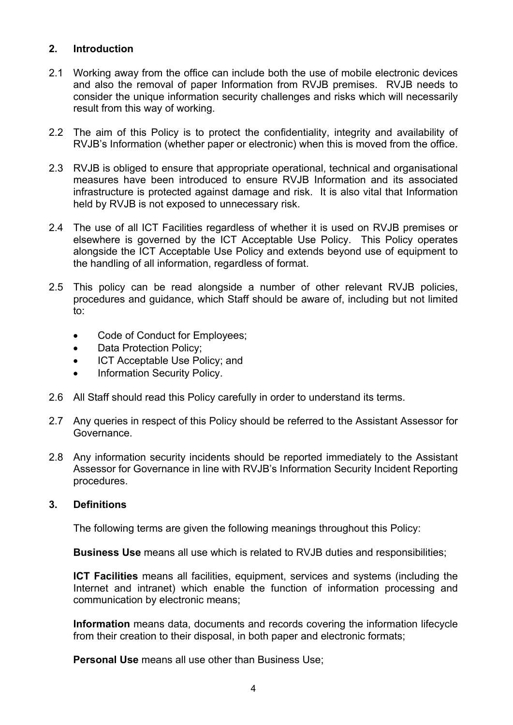## **2. Introduction**

- 2.1 Working away from the office can include both the use of mobile electronic devices and also the removal of paper Information from RVJB premises. RVJB needs to consider the unique information security challenges and risks which will necessarily result from this way of working.
- 2.2 The aim of this Policy is to protect the confidentiality, integrity and availability of RVJB's Information (whether paper or electronic) when this is moved from the office.
- 2.3 RVJB is obliged to ensure that appropriate operational, technical and organisational measures have been introduced to ensure RVJB Information and its associated infrastructure is protected against damage and risk. It is also vital that Information held by RVJB is not exposed to unnecessary risk.
- 2.4 The use of all ICT Facilities regardless of whether it is used on RVJB premises or elsewhere is governed by the ICT Acceptable Use Policy. This Policy operates alongside the ICT Acceptable Use Policy and extends beyond use of equipment to the handling of all information, regardless of format.
- 2.5 This policy can be read alongside a number of other relevant RVJB policies, procedures and guidance, which Staff should be aware of, including but not limited to:
	- Code of Conduct for Employees;
	- Data Protection Policy;
	- ICT Acceptable Use Policy; and
	- Information Security Policy.
- 2.6 All Staff should read this Policy carefully in order to understand its terms.
- 2.7 Any queries in respect of this Policy should be referred to the Assistant Assessor for Governance.
- 2.8 Any information security incidents should be reported immediately to the Assistant Assessor for Governance in line with RVJB's Information Security Incident Reporting procedures.

### **3. Definitions**

The following terms are given the following meanings throughout this Policy:

**Business Use** means all use which is related to RVJB duties and responsibilities;

**ICT Facilities** means all facilities, equipment, services and systems (including the Internet and intranet) which enable the function of information processing and communication by electronic means;

**Information** means data, documents and records covering the information lifecycle from their creation to their disposal, in both paper and electronic formats;

**Personal Use** means all use other than Business Use;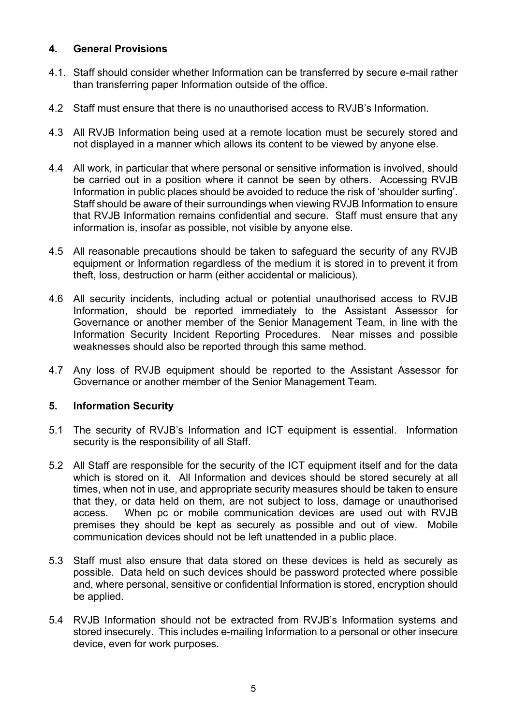## **4. General Provisions**

- 4.1. Staff should consider whether Information can be transferred by secure e-mail rather than transferring paper Information outside of the office.
- 4.2 Staff must ensure that there is no unauthorised access to RVJB's Information.
- 4.3 All RVJB Information being used at a remote location must be securely stored and not displayed in a manner which allows its content to be viewed by anyone else.
- 4.4 All work, in particular that where personal or sensitive information is involved, should be carried out in a position where it cannot be seen by others. Accessing RVJB Information in public places should be avoided to reduce the risk of 'shoulder surfing'. Staff should be aware of their surroundings when viewing RVJB Information to ensure that RVJB Information remains confidential and secure. Staff must ensure that any information is, insofar as possible, not visible by anyone else.
- 4.5 All reasonable precautions should be taken to safeguard the security of any RVJB equipment or Information regardless of the medium it is stored in to prevent it from theft, loss, destruction or harm (either accidental or malicious).
- 4.6 All security incidents, including actual or potential unauthorised access to RVJB Information, should be reported immediately to the Assistant Assessor for Governance or another member of the Senior Management Team, in line with the Information Security Incident Reporting Procedures. Near misses and possible weaknesses should also be reported through this same method.
- 4.7 Any loss of RVJB equipment should be reported to the Assistant Assessor for Governance or another member of the Senior Management Team.

# **5. Information Security**

- 5.1 The security of RVJB's Information and ICT equipment is essential. Information security is the responsibility of all Staff.
- 5.2 All Staff are responsible for the security of the ICT equipment itself and for the data which is stored on it. All Information and devices should be stored securely at all times, when not in use, and appropriate security measures should be taken to ensure that they, or data held on them, are not subject to loss, damage or unauthorised access. When pc or mobile communication devices are used out with RVJB premises they should be kept as securely as possible and out of view. Mobile communication devices should not be left unattended in a public place.
- 5.3 Staff must also ensure that data stored on these devices is held as securely as possible. Data held on such devices should be password protected where possible and, where personal, sensitive or confidential Information is stored, encryption should be applied.
- 5.4 RVJB Information should not be extracted from RVJB's Information systems and stored insecurely. This includes e-mailing Information to a personal or other insecure device, even for work purposes.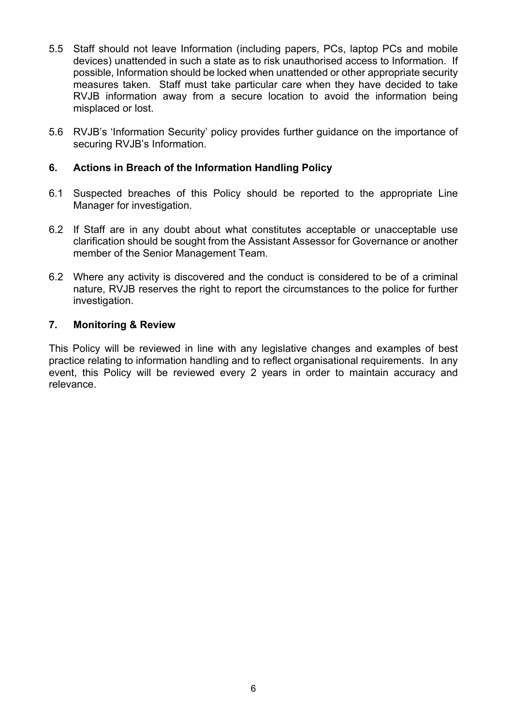- 5.5 Staff should not leave Information (including papers, PCs, laptop PCs and mobile devices) unattended in such a state as to risk unauthorised access to Information. If possible, Information should be locked when unattended or other appropriate security measures taken. Staff must take particular care when they have decided to take RVJB information away from a secure location to avoid the information being misplaced or lost.
- 5.6 RVJB's 'Information Security' policy provides further guidance on the importance of securing RVJB's Information.

# **6. Actions in Breach of the Information Handling Policy**

- 6.1 Suspected breaches of this Policy should be reported to the appropriate Line Manager for investigation.
- 6.2 If Staff are in any doubt about what constitutes acceptable or unacceptable use clarification should be sought from the Assistant Assessor for Governance or another member of the Senior Management Team.
- 6.2 Where any activity is discovered and the conduct is considered to be of a criminal nature, RVJB reserves the right to report the circumstances to the police for further investigation.

### **7. Monitoring & Review**

This Policy will be reviewed in line with any legislative changes and examples of best practice relating to information handling and to reflect organisational requirements. In any event, this Policy will be reviewed every 2 years in order to maintain accuracy and relevance.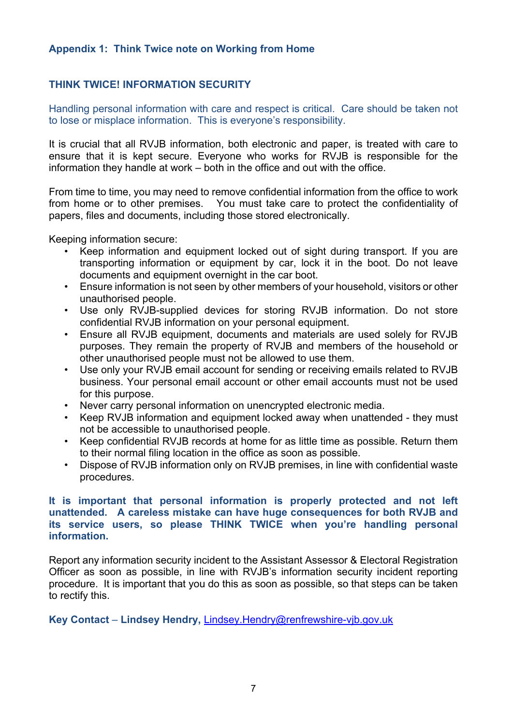## **Appendix 1: Think Twice note on Working from Home**

# **THINK TWICE! INFORMATION SECURITY**

Handling personal information with care and respect is critical. Care should be taken not to lose or misplace information. This is everyone's responsibility.

It is crucial that all RVJB information, both electronic and paper, is treated with care to ensure that it is kept secure. Everyone who works for RVJB is responsible for the information they handle at work – both in the office and out with the office.

From time to time, you may need to remove confidential information from the office to work from home or to other premises. You must take care to protect the confidentiality of papers, files and documents, including those stored electronically.

Keeping information secure:

- Keep information and equipment locked out of sight during transport. If you are transporting information or equipment by car, lock it in the boot. Do not leave documents and equipment overnight in the car boot.
- Ensure information is not seen by other members of your household, visitors or other unauthorised people.
- Use only RVJB-supplied devices for storing RVJB information. Do not store confidential RVJB information on your personal equipment.
- Ensure all RVJB equipment, documents and materials are used solely for RVJB purposes. They remain the property of RVJB and members of the household or other unauthorised people must not be allowed to use them.
- Use only your RVJB email account for sending or receiving emails related to RVJB business. Your personal email account or other email accounts must not be used for this purpose.
- Never carry personal information on unencrypted electronic media.
- Keep RVJB information and equipment locked away when unattended they must not be accessible to unauthorised people.
- Keep confidential RVJB records at home for as little time as possible. Return them to their normal filing location in the office as soon as possible.
- Dispose of RVJB information only on RVJB premises, in line with confidential waste procedures.

#### **It is important that personal information is properly protected and not left unattended. A careless mistake can have huge consequences for both RVJB and its service users, so please THINK TWICE when you're handling personal information.**

Report any information security incident to the Assistant Assessor & Electoral Registration Officer as soon as possible, in line with RVJB's information security incident reporting procedure. It is important that you do this as soon as possible, so that steps can be taken to rectify this.

**Key Contact** – **Lindsey Hendry,** Lindsey.Hendry@renfrewshire-vjb.gov.uk